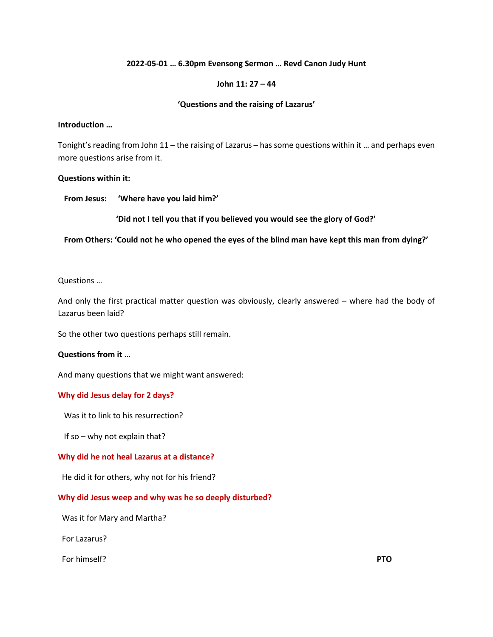### **2022-05-01 … 6.30pm Evensong Sermon … Revd Canon Judy Hunt**

### **John 11: 27 – 44**

### **'Questions and the raising of Lazarus'**

#### **Introduction …**

Tonight's reading from John 11 – the raising of Lazarus – has some questions within it … and perhaps even more questions arise from it.

### **Questions within it:**

 **From Jesus: 'Where have you laid him?'**

**'Did not I tell you that if you believed you would see the glory of God?'**

 **From Others: 'Could not he who opened the eyes of the blind man have kept this man from dying?'**

### Questions …

And only the first practical matter question was obviously, clearly answered – where had the body of Lazarus been laid?

So the other two questions perhaps still remain.

## **Questions from it …**

And many questions that we might want answered:

## **Why did Jesus delay for 2 days?**

Was it to link to his resurrection?

If so – why not explain that?

## **Why did he not heal Lazarus at a distance?**

He did it for others, why not for his friend?

#### **Why did Jesus weep and why was he so deeply disturbed?**

Was it for Mary and Martha?

For Lazarus?

For himself? **PTO**